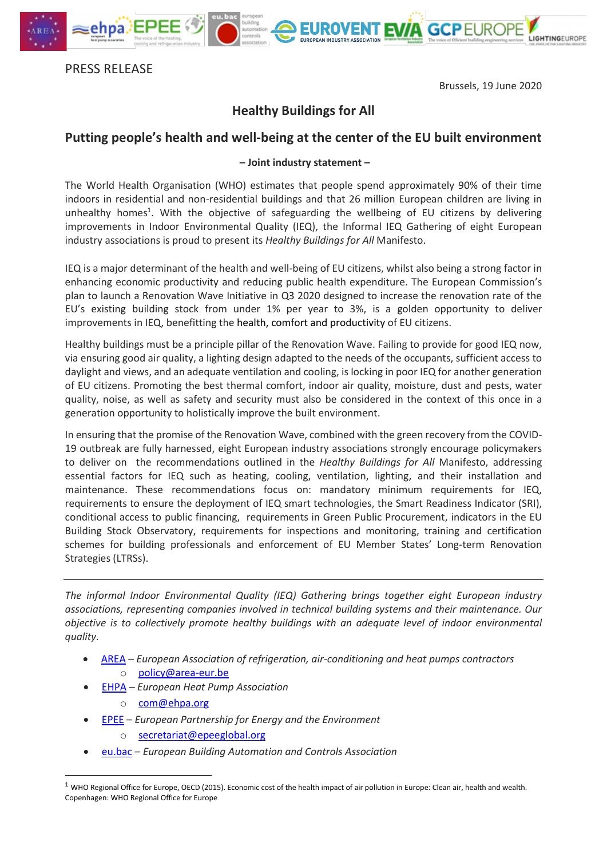

Brussels, 19 June 2020

LIGHTINGEUROPE

**EUROVENT EVA GCPEUROPE** 

## **Healthy Buildings for All**

## **Putting people's health and well-being at the center of the EU built environment**

## **– Joint industry statement –**

The World Health Organisation (WHO) estimates that people spend approximately 90% of their time indoors in residential and non-residential buildings and that 26 million European children are living in unhealthy homes<sup>1</sup>. With the objective of safeguarding the wellbeing of EU citizens by delivering improvements in Indoor Environmental Quality (IEQ), the Informal IEQ Gathering of eight European industry associations is proud to present its *Healthy Buildings for All* Manifesto.

IEQ is a major determinant of the health and well-being of EU citizens, whilst also being a strong factor in enhancing economic productivity and reducing public health expenditure. The European Commission's plan to launch a Renovation Wave Initiative in Q3 2020 designed to increase the renovation rate of the EU's existing building stock from under 1% per year to 3%, is a golden opportunity to deliver improvements in IEQ, benefitting the health, comfort and productivity of EU citizens.

Healthy buildings must be a principle pillar of the Renovation Wave. Failing to provide for good IEQ now, via ensuring good air quality, a lighting design adapted to the needs of the occupants, sufficient access to daylight and views, and an adequate ventilation and cooling, is locking in poor IEQ for another generation of EU citizens. Promoting the best thermal comfort, indoor air quality, moisture, dust and pests, water quality, noise, as well as safety and security must also be considered in the context of this once in a generation opportunity to holistically improve the built environment.

In ensuring that the promise of the Renovation Wave, combined with the green recovery from the COVID-19 outbreak are fully harnessed, eight European industry associations strongly encourage policymakers to deliver on the recommendations outlined in the *Healthy Buildings for All* Manifesto, addressing essential factors for IEQ such as heating, cooling, ventilation, lighting, and their installation and maintenance. These recommendations focus on: mandatory minimum requirements for IEQ, requirements to ensure the deployment of IEQ smart technologies, the Smart Readiness Indicator (SRI), conditional access to public financing, requirements in Green Public Procurement, indicators in the EU Building Stock Observatory, requirements for inspections and monitoring, training and certification schemes for building professionals and enforcement of EU Member States' Long-term Renovation Strategies (LTRSs).

*The informal Indoor Environmental Quality (IEQ) Gathering brings together eight European industry associations, representing companies involved in technical building systems and their maintenance. Our objective is to collectively promote healthy buildings with an adequate level of indoor environmental quality.* 

- [AREA](http://www.area-eur.be/) *European Association of refrigeration, air-conditioning and heat pumps contractors* o [policy@area-eur.be](mailto:policy@area-eur.be)
- [EHPA](https://www.ehpa.org/) *– European Heat Pump Association* 
	- o [com@ehpa.org](mailto:com@ehpa.org)

 $\overline{\phantom{a}}$ 

- [EPEE](https://www.epeeglobal.org/) *European Partnership for Energy and the Environment*
	- o [secretariat@epeeglobal.org](mailto:secretariat@epeeglobal.org)
- [eu.bac](https://www.eubac.org/home/index.html) *– European Building Automation and Controls Association*

 $1$  WHO Regional Office for Europe, OECD (2015). Economic cost of the health impact of air pollution in Europe: Clean air, health and wealth. Copenhagen: WHO Regional Office for Europe